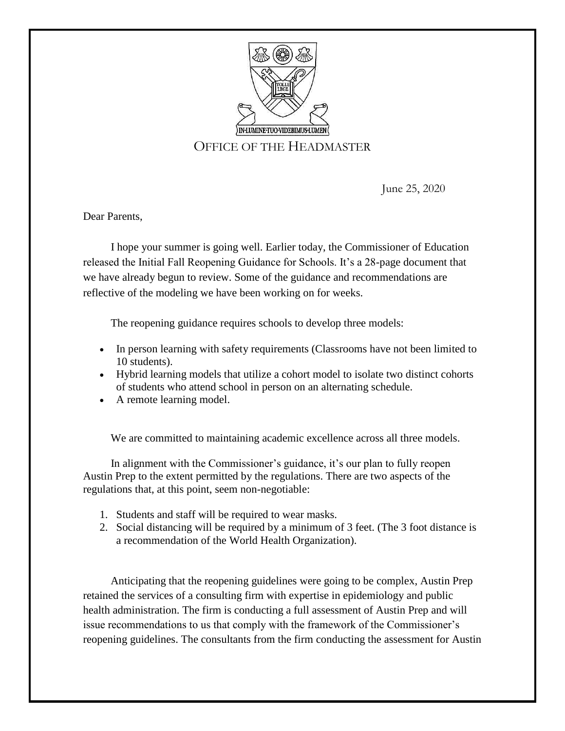

## OFFICE OF THE HEADMASTER

June 25, 2020

Dear Parents,

 I hope your summer is going well. Earlier today, the Commissioner of Education released the Initial Fall Reopening Guidance for Schools. It's a 28-page document that we have already begun to review. Some of the guidance and recommendations are reflective of the modeling we have been working on for weeks.

The reopening guidance requires schools to develop three models:

- In person learning with safety requirements (Classrooms have not been limited to 10 students).
- Hybrid learning models that utilize a cohort model to isolate two distinct cohorts of students who attend school in person on an alternating schedule.
- A remote learning model.

We are committed to maintaining academic excellence across all three models.

 In alignment with the Commissioner's guidance, it's our plan to fully reopen Austin Prep to the extent permitted by the regulations. There are two aspects of the regulations that, at this point, seem non-negotiable:

- 1. Students and staff will be required to wear masks.
- 2. Social distancing will be required by a minimum of 3 feet. (The 3 foot distance is a recommendation of the World Health Organization).

 Anticipating that the reopening guidelines were going to be complex, Austin Prep retained the services of a consulting firm with expertise in epidemiology and public health administration. The firm is conducting a full assessment of Austin Prep and will issue recommendations to us that comply with the framework of the Commissioner's reopening guidelines. The consultants from the firm conducting the assessment for Austin